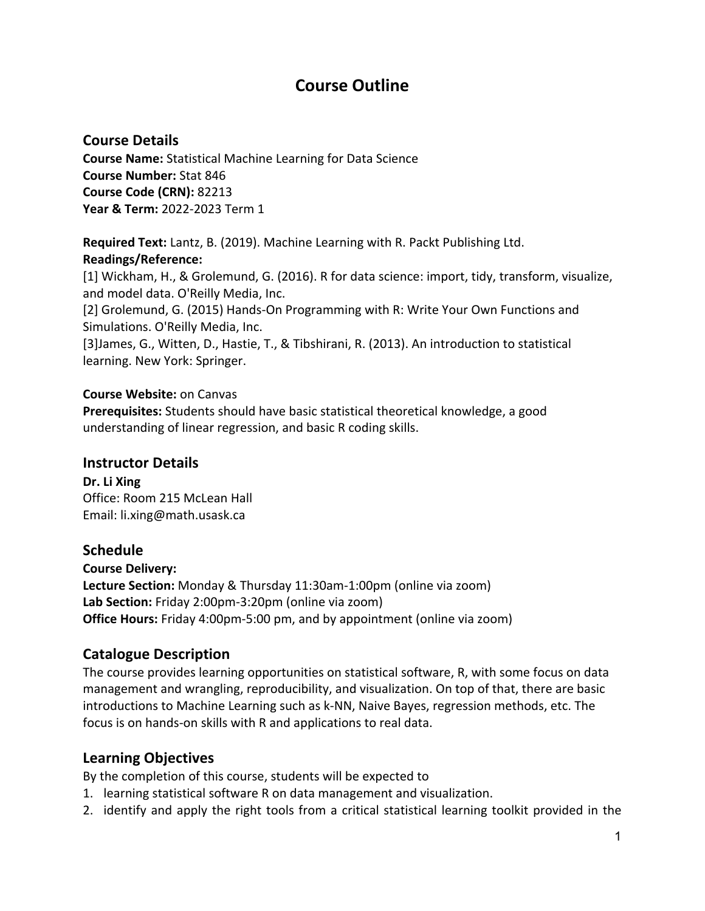# **Course Outline**

# **Course Details**

**Course Name:** Statistical Machine Learning for Data Science **Course Number:** Stat 846 **Course Code (CRN):** 82213 **Year & Term:** 2022-2023 Term 1

**Required Text:** Lantz, B. (2019). Machine Learning with R. Packt Publishing Ltd. **Readings/Reference:**

[1] Wickham, H., & Grolemund, G. (2016). R for data science: import, tidy, transform, visualize, and model data. O'Reilly Media, Inc.

[2] Grolemund, G. (2015) Hands-On Programming with R: Write Your Own Functions and Simulations. O'Reilly Media, Inc.

[3]James, G., Witten, D., Hastie, T., & Tibshirani, R. (2013). An introduction to statistical learning. New York: Springer.

#### **Course Website:** on Canvas

**Prerequisites:** Students should have basic statistical theoretical knowledge, a good understanding of linear regression, and basic R coding skills.

# **Instructor Details**

**Dr. Li Xing** Office: Room 215 McLean Hall Email: li.xing@math.usask.ca

# **Schedule**

**Course Delivery: Lecture Section:** Monday & Thursday 11:30am-1:00pm (online via zoom) **Lab Section:** Friday 2:00pm-3:20pm (online via zoom) **Office Hours:** Friday 4:00pm-5:00 pm, and by appointment (online via zoom)

# **Catalogue Description**

The course provides learning opportunities on statistical software, R, with some focus on data management and wrangling, reproducibility, and visualization. On top of that, there are basic introductions to Machine Learning such as k-NN, Naive Bayes, regression methods, etc. The focus is on hands-on skills with R and applications to real data.

# **Learning Objectives**

By the completion of this course, students will be expected to

- 1. learning statistical software R on data management and visualization.
- 2. identify and apply the right tools from a critical statistical learning toolkit provided in the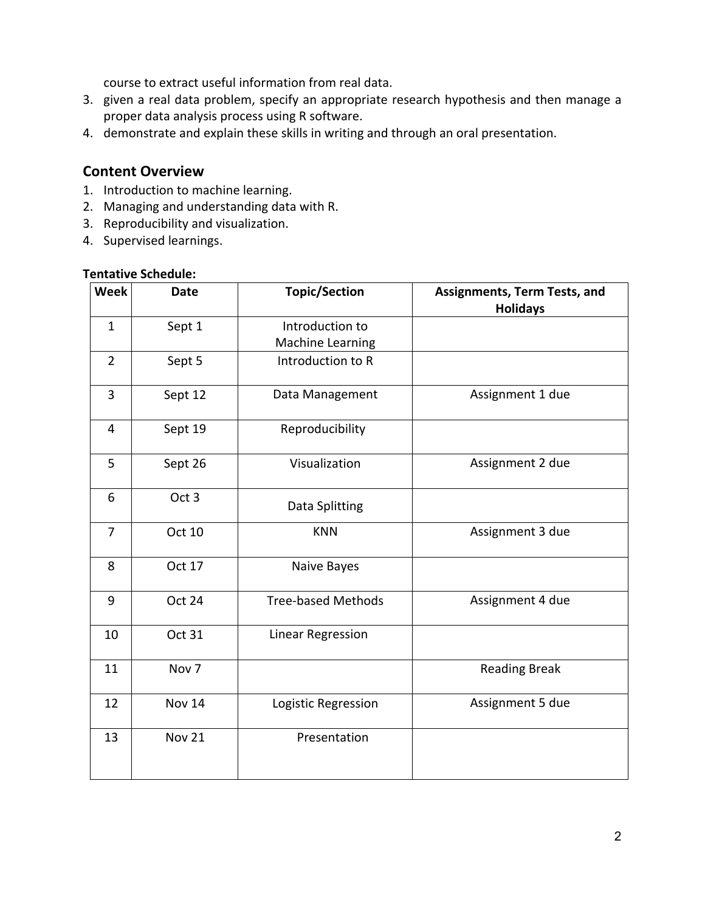course to extract useful information from real data.

- 3. given a real data problem, specify an appropriate research hypothesis and then manage a proper data analysis process using R software.
- 4. demonstrate and explain these skills in writing and through an oral presentation.

#### **Content Overview**

- 1. Introduction to machine learning.
- 2. Managing and understanding data with R.
- 3. Reproducibility and visualization.
- 4. Supervised learnings.

#### **Tentative Schedule:**

| <b>Week</b>    | <b>Date</b>      | <b>Topic/Section</b>      | <b>Assignments, Term Tests, and</b><br><b>Holidays</b> |
|----------------|------------------|---------------------------|--------------------------------------------------------|
| $\mathbf{1}$   | Sept 1           | Introduction to           |                                                        |
|                |                  | <b>Machine Learning</b>   |                                                        |
| $\overline{2}$ | Sept 5           | Introduction to R         |                                                        |
| 3              | Sept 12          | Data Management           | Assignment 1 due                                       |
| 4              | Sept 19          | Reproducibility           |                                                        |
| 5              | Sept 26          | Visualization             | Assignment 2 due                                       |
| 6              | Oct <sub>3</sub> | Data Splitting            |                                                        |
| $\overline{7}$ | Oct 10           | <b>KNN</b>                | Assignment 3 due                                       |
| 8              | Oct 17           | Naive Bayes               |                                                        |
| 9              | Oct 24           | <b>Tree-based Methods</b> | Assignment 4 due                                       |
| 10             | Oct 31           | <b>Linear Regression</b>  |                                                        |
| 11             | Nov 7            |                           | <b>Reading Break</b>                                   |
| 12             | Nov 14           | Logistic Regression       | Assignment 5 due                                       |
| 13             | <b>Nov 21</b>    | Presentation              |                                                        |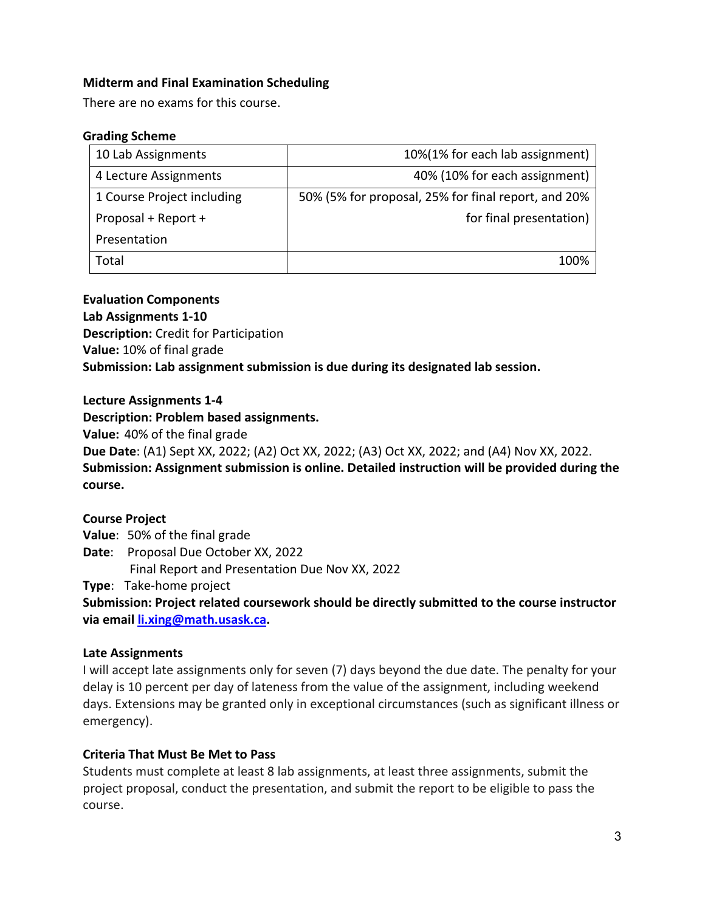# **Midterm and Final Examination Scheduling**

There are no exams for this course.

#### **Grading Scheme**

| 10 Lab Assignments         | 10%(1% for each lab assignment)                     |
|----------------------------|-----------------------------------------------------|
| 4 Lecture Assignments      | 40% (10% for each assignment)                       |
| 1 Course Project including | 50% (5% for proposal, 25% for final report, and 20% |
| Proposal + Report +        | for final presentation)                             |
| Presentation               |                                                     |
| Total                      | 100%                                                |

#### **Evaluation Components**

**Lab Assignments 1-10 Description:** Credit for Participation **Value:** 10% of final grade **Submission: Lab assignment submission is due during its designated lab session.** 

**Lecture Assignments 1-4**

**Description: Problem based assignments.** 

**Value:** 40% of the final grade

**Due Date**: (A1) Sept XX, 2022; (A2) Oct XX, 2022; (A3) Oct XX, 2022; and (A4) Nov XX, 2022. **Submission: Assignment submission is online. Detailed instruction will be provided during the course.** 

# **Course Project**

**Value**: 50% of the final grade

**Date**: Proposal Due October XX, 2022

Final Report and Presentation Due Nov XX, 2022

**Type**: Take-home project

**Submission: Project related coursework should be directly submitted to the course instructor via email li.xing@math.usask.ca.** 

# **Late Assignments**

I will accept late assignments only for seven (7) days beyond the due date. The penalty for your delay is 10 percent per day of lateness from the value of the assignment, including weekend days. Extensions may be granted only in exceptional circumstances (such as significant illness or emergency).

# **Criteria That Must Be Met to Pass**

Students must complete at least 8 lab assignments, at least three assignments, submit the project proposal, conduct the presentation, and submit the report to be eligible to pass the course.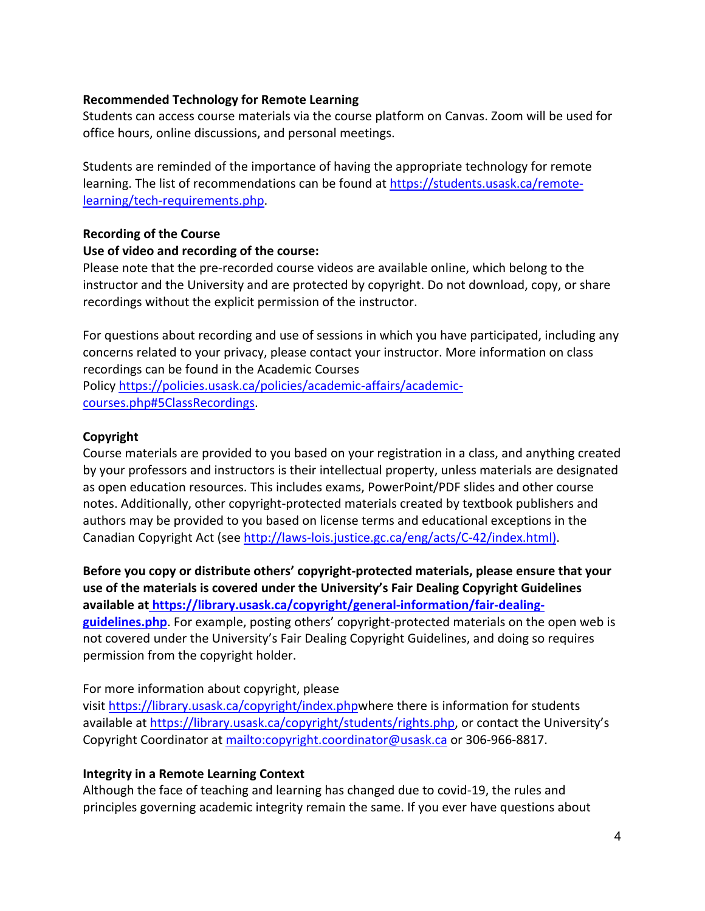#### **Recommended Technology for Remote Learning**

Students can access course materials via the course platform on Canvas. Zoom will be used for office hours, online discussions, and personal meetings.

Students are reminded of the importance of having the appropriate technology for remote learning. The list of recommendations can be found at https://students.usask.ca/remotelearning/tech-requirements.php.

#### **Recording of the Course**

#### **Use of video and recording of the course:**

Please note that the pre-recorded course videos are available online, which belong to the instructor and the University and are protected by copyright. Do not download, copy, or share recordings without the explicit permission of the instructor.

For questions about recording and use of sessions in which you have participated, including any concerns related to your privacy, please contact your instructor. More information on class recordings can be found in the Academic Courses

Policy https://policies.usask.ca/policies/academic-affairs/academiccourses.php#5ClassRecordings.

#### **Copyright**

Course materials are provided to you based on your registration in a class, and anything created by your professors and instructors is their intellectual property, unless materials are designated as open education resources. This includes exams, PowerPoint/PDF slides and other course notes. Additionally, other copyright-protected materials created by textbook publishers and authors may be provided to you based on license terms and educational exceptions in the Canadian Copyright Act (see http://laws-lois.justice.gc.ca/eng/acts/C-42/index.html).

**Before you copy or distribute others' copyright-protected materials, please ensure that your use of the materials is covered under the University's Fair Dealing Copyright Guidelines available at https://library.usask.ca/copyright/general-information/fair-dealingguidelines.php**. For example, posting others' copyright-protected materials on the open web is not covered under the University's Fair Dealing Copyright Guidelines, and doing so requires permission from the copyright holder.

# For more information about copyright, please

visit https://library.usask.ca/copyright/index.phpwhere there is information for students available at https://library.usask.ca/copyright/students/rights.php, or contact the University's Copyright Coordinator at mailto:copyright.coordinator@usask.ca or 306-966-8817.

# **Integrity in a Remote Learning Context**

Although the face of teaching and learning has changed due to covid-19, the rules and principles governing academic integrity remain the same. If you ever have questions about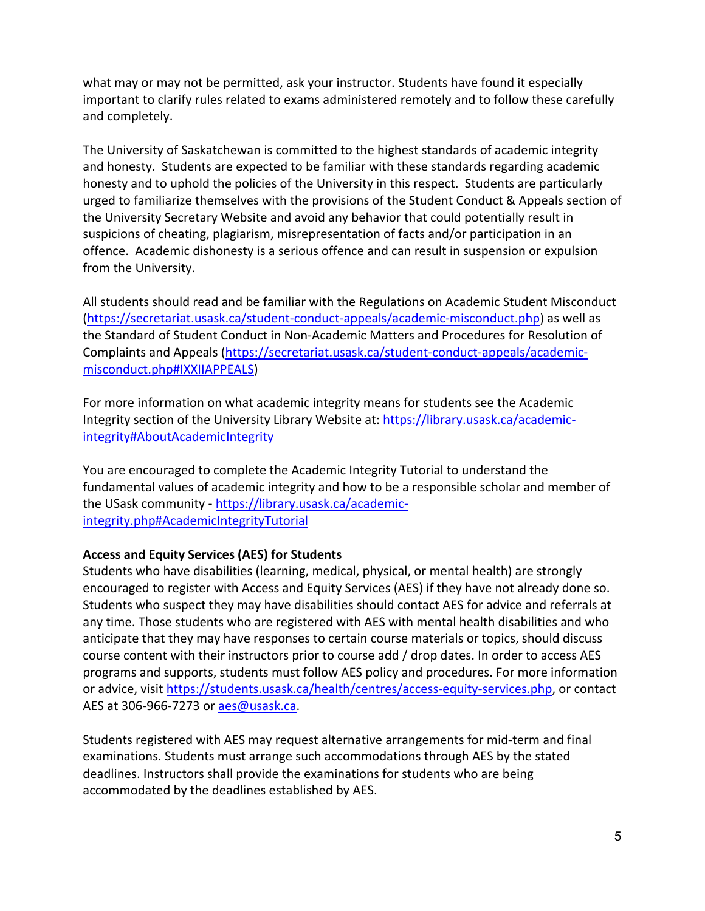what may or may not be permitted, ask your instructor. Students have found it especially important to clarify rules related to exams administered remotely and to follow these carefully and completely.

The University of Saskatchewan is committed to the highest standards of academic integrity and honesty. Students are expected to be familiar with these standards regarding academic honesty and to uphold the policies of the University in this respect. Students are particularly urged to familiarize themselves with the provisions of the Student Conduct & Appeals section of the University Secretary Website and avoid any behavior that could potentially result in suspicions of cheating, plagiarism, misrepresentation of facts and/or participation in an offence. Academic dishonesty is a serious offence and can result in suspension or expulsion from the University.

All students should read and be familiar with the Regulations on Academic Student Misconduct (https://secretariat.usask.ca/student-conduct-appeals/academic-misconduct.php) as well as the Standard of Student Conduct in Non-Academic Matters and Procedures for Resolution of Complaints and Appeals (https://secretariat.usask.ca/student-conduct-appeals/academicmisconduct.php#IXXIIAPPEALS)

For more information on what academic integrity means for students see the Academic Integrity section of the University Library Website at: https://library.usask.ca/academicintegrity#AboutAcademicIntegrity

You are encouraged to complete the Academic Integrity Tutorial to understand the fundamental values of academic integrity and how to be a responsible scholar and member of the USask community - https://library.usask.ca/academicintegrity.php#AcademicIntegrityTutorial

# **Access and Equity Services (AES) for Students**

Students who have disabilities (learning, medical, physical, or mental health) are strongly encouraged to register with Access and Equity Services (AES) if they have not already done so. Students who suspect they may have disabilities should contact AES for advice and referrals at any time. Those students who are registered with AES with mental health disabilities and who anticipate that they may have responses to certain course materials or topics, should discuss course content with their instructors prior to course add / drop dates. In order to access AES programs and supports, students must follow AES policy and procedures. For more information or advice, visit https://students.usask.ca/health/centres/access-equity-services.php, or contact AES at 306-966-7273 or aes@usask.ca.

Students registered with AES may request alternative arrangements for mid-term and final examinations. Students must arrange such accommodations through AES by the stated deadlines. Instructors shall provide the examinations for students who are being accommodated by the deadlines established by AES.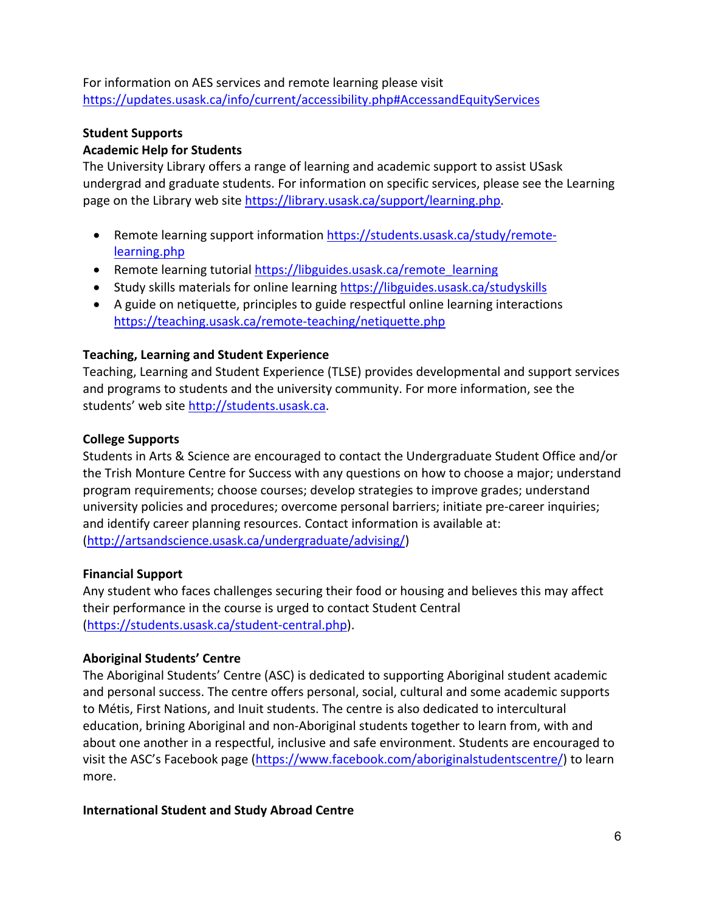For information on AES services and remote learning please visit https://updates.usask.ca/info/current/accessibility.php#AccessandEquityServices

# **Student Supports**

#### **Academic Help for Students**

The University Library offers a range of learning and academic support to assist USask undergrad and graduate students. For information on specific services, please see the Learning page on the Library web site https://library.usask.ca/support/learning.php.

- Remote learning support information https://students.usask.ca/study/remotelearning.php
- Remote learning tutorial https://libguides.usask.ca/remote learning
- Study skills materials for online learning https://libguides.usask.ca/studyskills
- A guide on netiquette, principles to guide respectful online learning interactions https://teaching.usask.ca/remote-teaching/netiquette.php

#### **Teaching, Learning and Student Experience**

Teaching, Learning and Student Experience (TLSE) provides developmental and support services and programs to students and the university community. For more information, see the students' web site http://students.usask.ca.

#### **College Supports**

Students in Arts & Science are encouraged to contact the Undergraduate Student Office and/or the Trish Monture Centre for Success with any questions on how to choose a major; understand program requirements; choose courses; develop strategies to improve grades; understand university policies and procedures; overcome personal barriers; initiate pre-career inquiries; and identify career planning resources. Contact information is available at: (http://artsandscience.usask.ca/undergraduate/advising/)

#### **Financial Support**

Any student who faces challenges securing their food or housing and believes this may affect their performance in the course is urged to contact Student Central (https://students.usask.ca/student-central.php).

#### **Aboriginal Students' Centre**

The Aboriginal Students' Centre (ASC) is dedicated to supporting Aboriginal student academic and personal success. The centre offers personal, social, cultural and some academic supports to Métis, First Nations, and Inuit students. The centre is also dedicated to intercultural education, brining Aboriginal and non-Aboriginal students together to learn from, with and about one another in a respectful, inclusive and safe environment. Students are encouraged to visit the ASC's Facebook page (https://www.facebook.com/aboriginalstudentscentre/) to learn more.

**International Student and Study Abroad Centre**